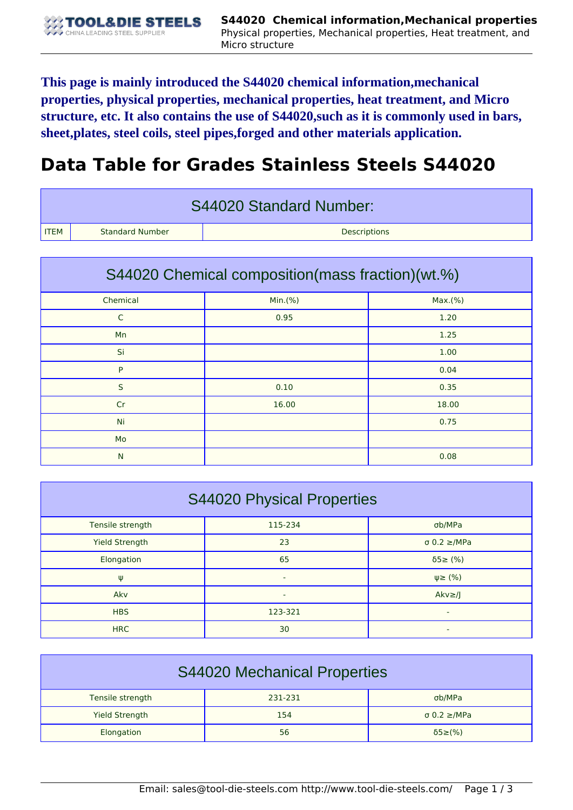**This page is mainly introduced the S44020 chemical information,mechanical properties, physical properties, mechanical properties, heat treatment, and Micro structure, etc. It also contains the use of S44020,such as it is commonly used in bars, sheet,plates, steel coils, steel pipes,forged and other materials application.**

## **Data Table for Grades Stainless Steels S44020**

| S44020 Standard Number: |                        |                     |  |  |
|-------------------------|------------------------|---------------------|--|--|
| <b>ITEM</b>             | <b>Standard Number</b> | <b>Descriptions</b> |  |  |

| S44020 Chemical composition (mass fraction) (wt.%) |         |         |  |  |
|----------------------------------------------------|---------|---------|--|--|
| Chemical                                           | Min.(%) | Max.(%) |  |  |
| $\mathsf{C}$                                       | 0.95    | 1.20    |  |  |
| Mn                                                 |         | 1.25    |  |  |
| Si                                                 |         | 1.00    |  |  |
| P                                                  |         | 0.04    |  |  |
| S                                                  | 0.10    | 0.35    |  |  |
| Cr                                                 | 16.00   | 18.00   |  |  |
| Ni                                                 |         | 0.75    |  |  |
| Mo                                                 |         |         |  |  |
| N                                                  |         | 0.08    |  |  |

| <b>S44020 Physical Properties</b> |                          |                          |  |  |
|-----------------------------------|--------------------------|--------------------------|--|--|
| Tensile strength                  | 115-234                  | σb/MPa                   |  |  |
| <b>Yield Strength</b>             | 23                       | $\sigma$ 0.2 $\geq$ /MPa |  |  |
| Elongation                        | 65                       | $\delta$ 5 $\geq$ (%)    |  |  |
| Ψ                                 | $\overline{\phantom{a}}$ | $\psi \geq$ (%)          |  |  |
| Akv                               | -                        | $Akv \geq l$             |  |  |
| <b>HBS</b>                        | 123-321                  |                          |  |  |
| <b>HRC</b>                        | 30                       |                          |  |  |

| <b>S44020 Mechanical Properties</b> |         |                          |  |  |
|-------------------------------------|---------|--------------------------|--|--|
| Tensile strength                    | 231-231 | σb/MPa                   |  |  |
| <b>Yield Strength</b>               | 154     | $\sigma$ 0.2 $\geq$ /MPa |  |  |
| Elongation                          | 56      | $\delta$ 5 $\geq$ (%)    |  |  |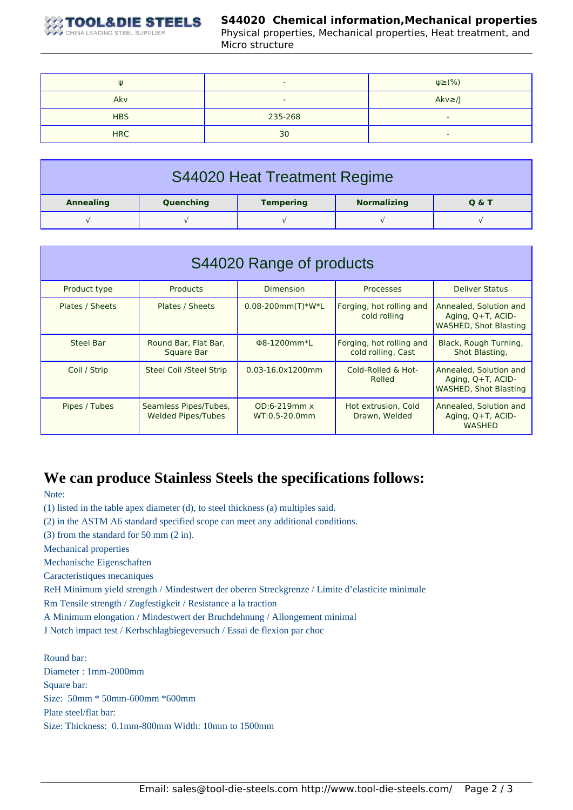

## **S44020 Chemical information,Mechanical properties**

Physical properties, Mechanical properties, Heat treatment, and Micro structure

| W          | $\overline{\phantom{0}}$ | $\psi \geq (\% )$        |
|------------|--------------------------|--------------------------|
| Akv        | $\overline{\phantom{0}}$ | $Akv \geq /J$            |
| <b>HBS</b> | 235-268                  | $\overline{\phantom{a}}$ |
| <b>HRC</b> | 30                       | $\overline{\phantom{a}}$ |

| S44020 Heat Treatment Regime |           |                  |                    |                  |
|------------------------------|-----------|------------------|--------------------|------------------|
| <b>Annealing</b>             | Quenching | <b>Tempering</b> | <b>Normalizing</b> | <b>Q &amp; T</b> |
|                              |           |                  |                    |                  |

| S44020 Range of products |                                                    |                                      |                                                |                                                                             |  |
|--------------------------|----------------------------------------------------|--------------------------------------|------------------------------------------------|-----------------------------------------------------------------------------|--|
| Product type             | <b>Products</b>                                    | <b>Dimension</b>                     | Processes                                      | <b>Deliver Status</b>                                                       |  |
| Plates / Sheets          | <b>Plates / Sheets</b>                             | $0.08 - 200$ mm $(T)$ *W*L           | Forging, hot rolling and<br>cold rolling       | Annealed, Solution and<br>Aging, Q+T, ACID-<br><b>WASHED, Shot Blasting</b> |  |
| Steel Bar                | Round Bar, Flat Bar,<br>Square Bar                 | Φ8-1200mm*L                          | Forging, hot rolling and<br>cold rolling, Cast | Black, Rough Turning,<br>Shot Blasting,                                     |  |
| Coil / Strip             | <b>Steel Coil /Steel Strip</b>                     | $0.03 - 16.0 \times 1200$ mm         | Cold-Rolled & Hot-<br>Rolled                   | Annealed, Solution and<br>Aging, Q+T, ACID-<br><b>WASHED, Shot Blasting</b> |  |
| Pipes / Tubes            | Seamless Pipes/Tubes,<br><b>Welded Pipes/Tubes</b> | $OD:6-219mm \times$<br>WT:0.5-20.0mm | Hot extrusion, Cold<br>Drawn, Welded           | Annealed, Solution and<br>Aging, Q+T, ACID-<br><b>WASHED</b>                |  |

## **We can produce Stainless Steels the specifications follows:**

Note:

(1) listed in the table apex diameter (d), to steel thickness (a) multiples said.

(2) in the ASTM A6 standard specified scope can meet any additional conditions.

(3) from the standard for 50 mm (2 in).

Mechanical properties

Mechanische Eigenschaften

Caracteristiques mecaniques

ReH Minimum yield strength / Mindestwert der oberen Streckgrenze / Limite d'elasticite minimale

Rm Tensile strength / Zugfestigkeit / Resistance a la traction

A Minimum elongation / Mindestwert der Bruchdehnung / Allongement minimal

J Notch impact test / Kerbschlagbiegeversuch / Essai de flexion par choc

Round bar: Diameter : 1mm-2000mm Square bar: Size: 50mm \* 50mm-600mm \*600mm Plate steel/flat bar: Size: Thickness: 0.1mm-800mm Width: 10mm to 1500mm